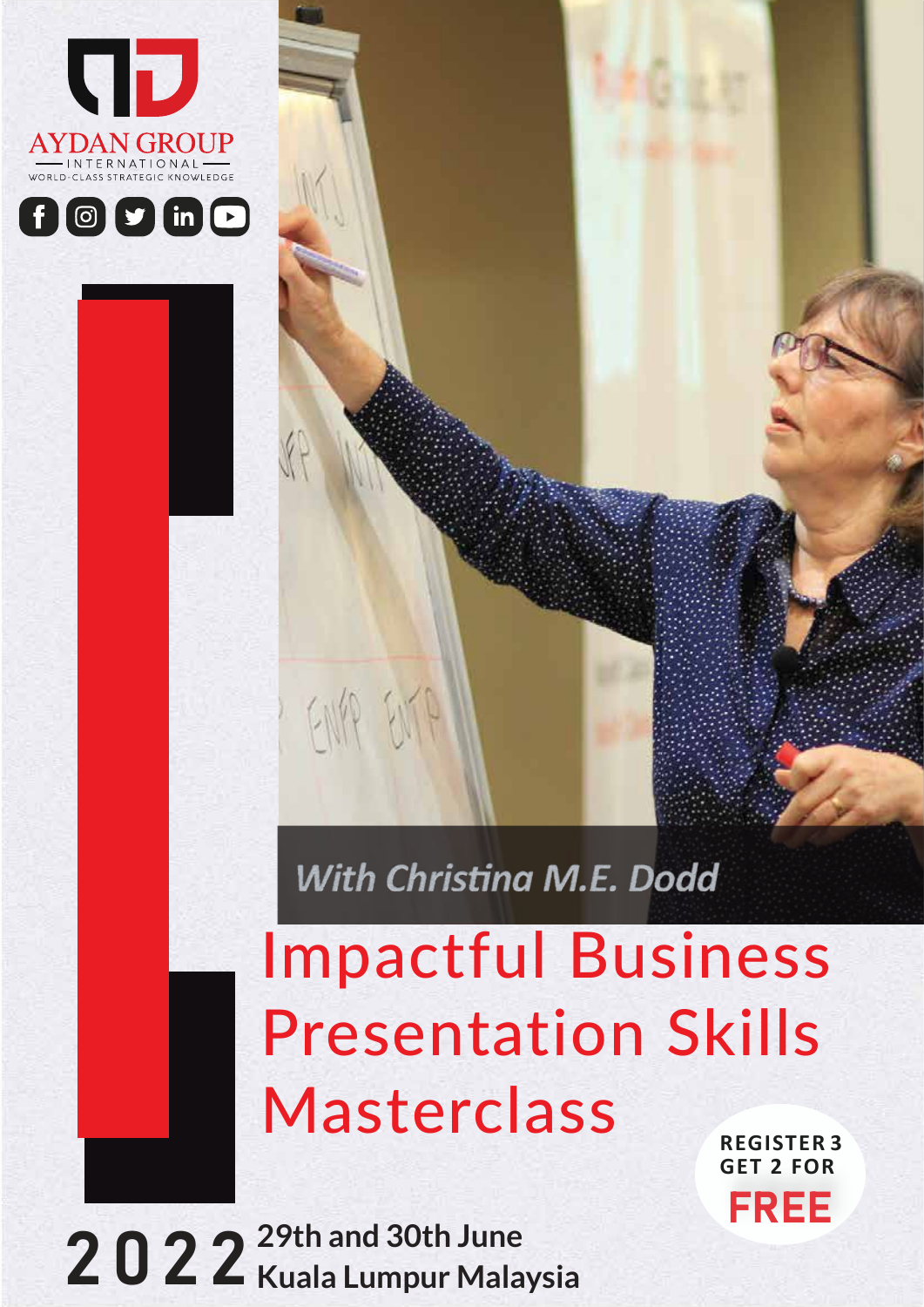



# Impactful Business Presentation Skills Masterclass

With Christina M.E. Dodd

2022 **29th and 30th June Kuala Lumpur Malaysia**

FINA ENTA

**REGISTER 3 GET 2 FOR**  FREE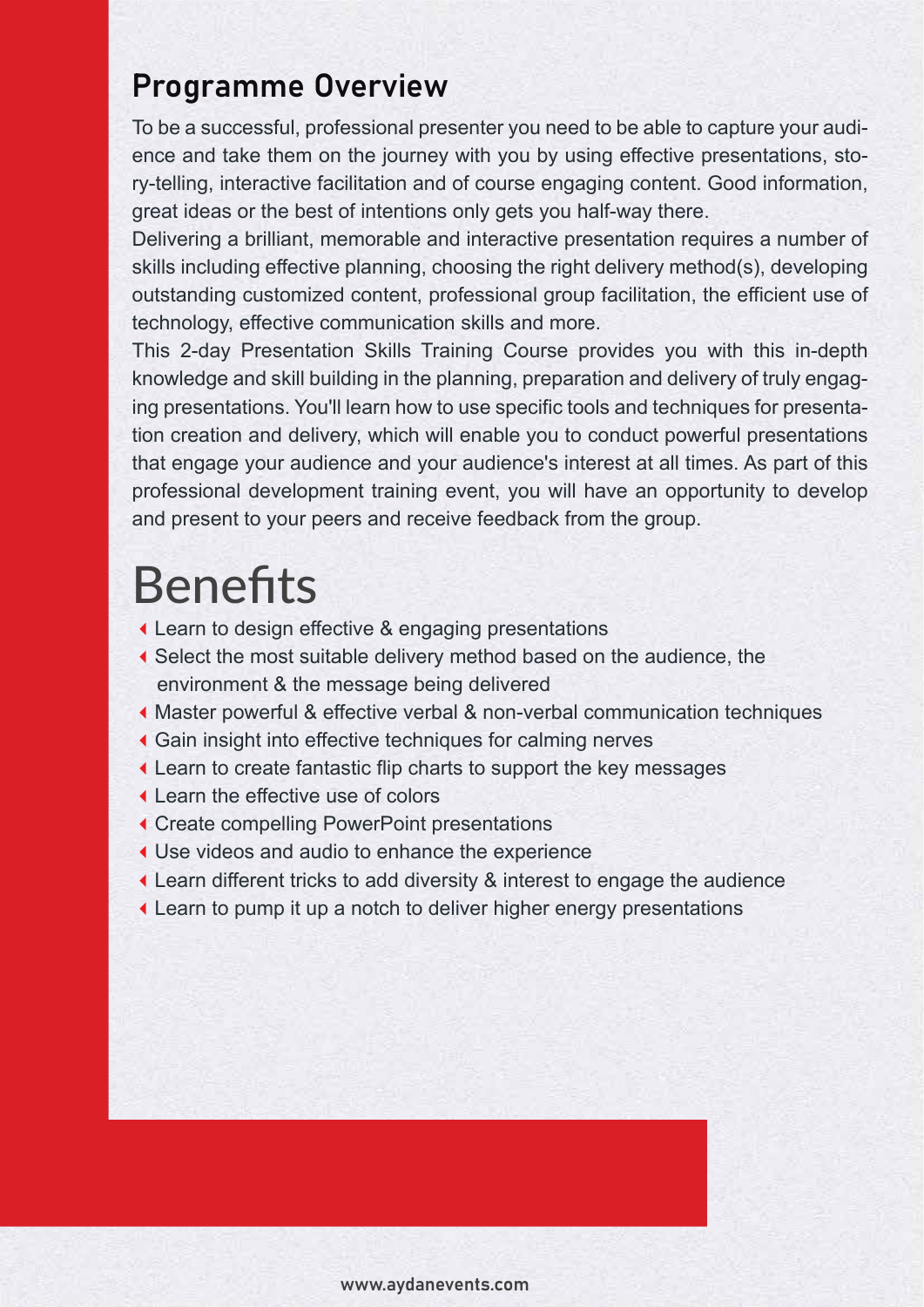# Programme Overview

To be a successful, professional presenter you need to be able to capture your audience and take them on the journey with you by using effective presentations, story-telling, interactive facilitation and of course engaging content. Good information, great ideas or the best of intentions only gets you half-way there.

Delivering a brilliant, memorable and interactive presentation requires a number of skills including effective planning, choosing the right delivery method(s), developing outstanding customized content, professional group facilitation, the efficient use of technology, effective communication skills and more.

This 2-day Presentation Skills Training Course provides you with this in-depth knowledge and skill building in the planning, preparation and delivery of truly engaging presentations. You'll learn how to use specific tools and techniques for presentation creation and delivery, which will enable you to conduct powerful presentations that engage your audience and your audience's interest at all times. As part of this professional development training event, you will have an opportunity to develop and present to your peers and receive feedback from the group.

# **Benefits**

- Learn to design effective & engaging presentations
- Select the most suitable delivery method based on the audience, the environment & the message being delivered
- Master powerful & effective verbal & non-verbal communication techniques
- Gain insight into effective techniques for calming nerves
- Learn to create fantastic flip charts to support the key messages
- Learn the effective use of colors
- Create compelling PowerPoint presentations
- Use videos and audio to enhance the experience
- Learn different tricks to add diversity & interest to engage the audience
- Learn to pump it up a notch to deliver higher energy presentations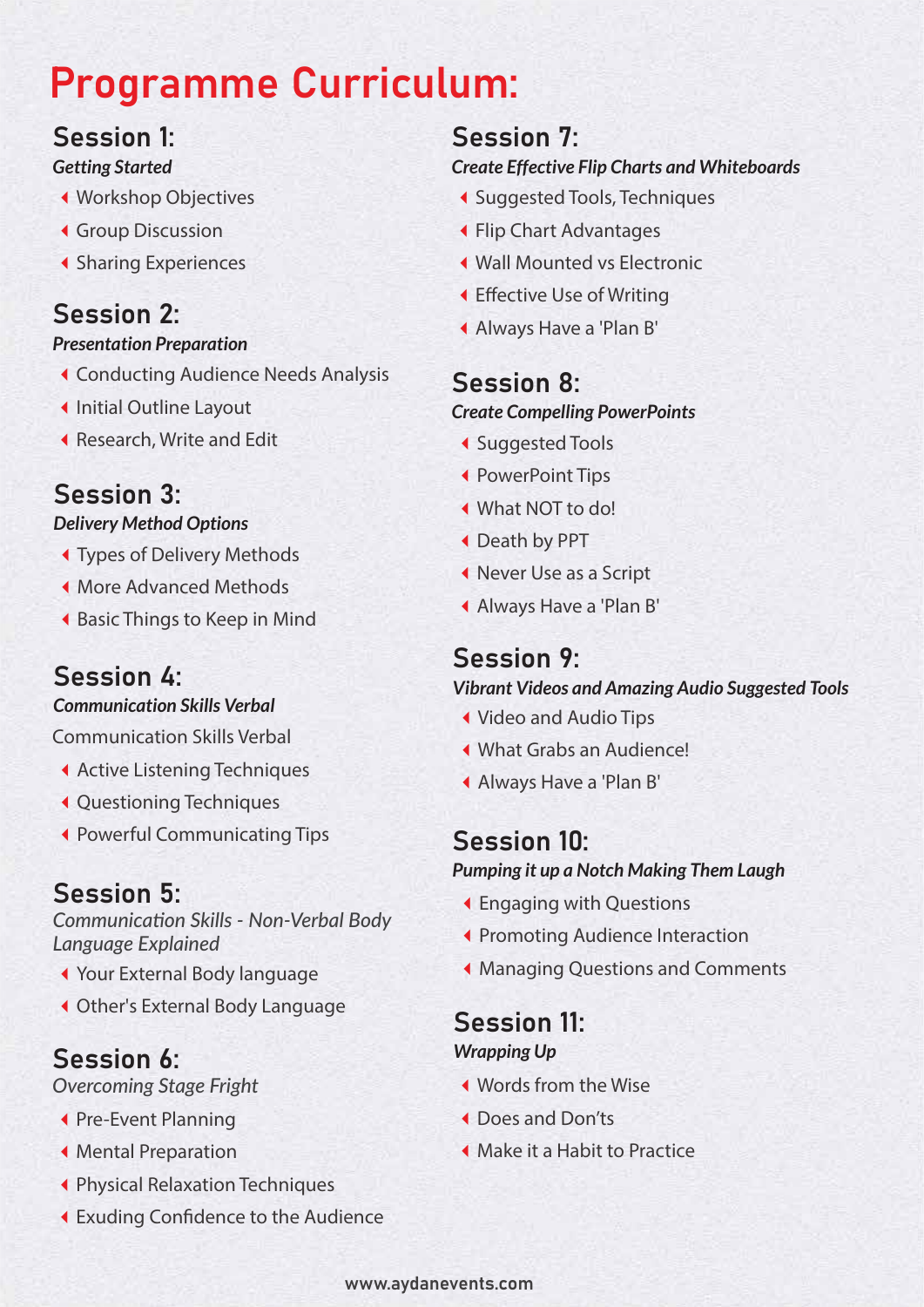# Programme Curriculum:

### Session 1: *Getting Started*

- Workshop Objectives
- Group Discussion
- ◆ Sharing Experiences

# Session 2:

### *Presentation Preparation*

- Conducting Audience Needs Analysis
- ◆ Initial Outline Layout
- Research, Write and Edit

# Session 3:

#### *Delivery Method Options*

- Types of Delivery Methods
- More Advanced Methods
- Basic Things to Keep in Mind

# Session 4:

#### *Communication Skills Verbal*

Communication Skills Verbal

- ◆ Active Listening Techniques
- Questioning Techniques
- Powerful Communicating Tips

# Session 5:

*Communication Skills - Non-Verbal Body Language Explained*

- Your External Body language
- Other's External Body Language

# Session 6:

*Overcoming Stage Fright*

- ◆ Pre-Event Planning
- Mental Preparation
- Physical Relaxation Techniques
- **K** Exuding Confidence to the Audience

# Session 7:

### *Create Effective Flip Charts and Whiteboards*

- Suggested Tools, Techniques
- Flip Chart Advantages
- Wall Mounted vs Electronic
- ◀ Effective Use of Writing
- Always Have a 'Plan B'

# Session 8: *Create Compelling PowerPoints*

- ◆ Suggested Tools
- PowerPoint Tips
- What NOT to do!
- Death by PPT
- Never Use as a Script
- Always Have a 'Plan B'

# Session 9:

### *Vibrant Videos and Amazing Audio Suggested Tools*

- Video and Audio Tips
- What Grabs an Audience!
- Always Have a 'Plan B'

# Session 10:

#### *Pumping it up a Notch Making Them Laugh*

- Engaging with Questions
- ◆ Promoting Audience Interaction
- Managing Questions and Comments

#### Session 11: *Wrapping Up*

- Words from the Wise
- Does and Don'ts
- Make it a Habit to Practice

#### www.aydanevents.com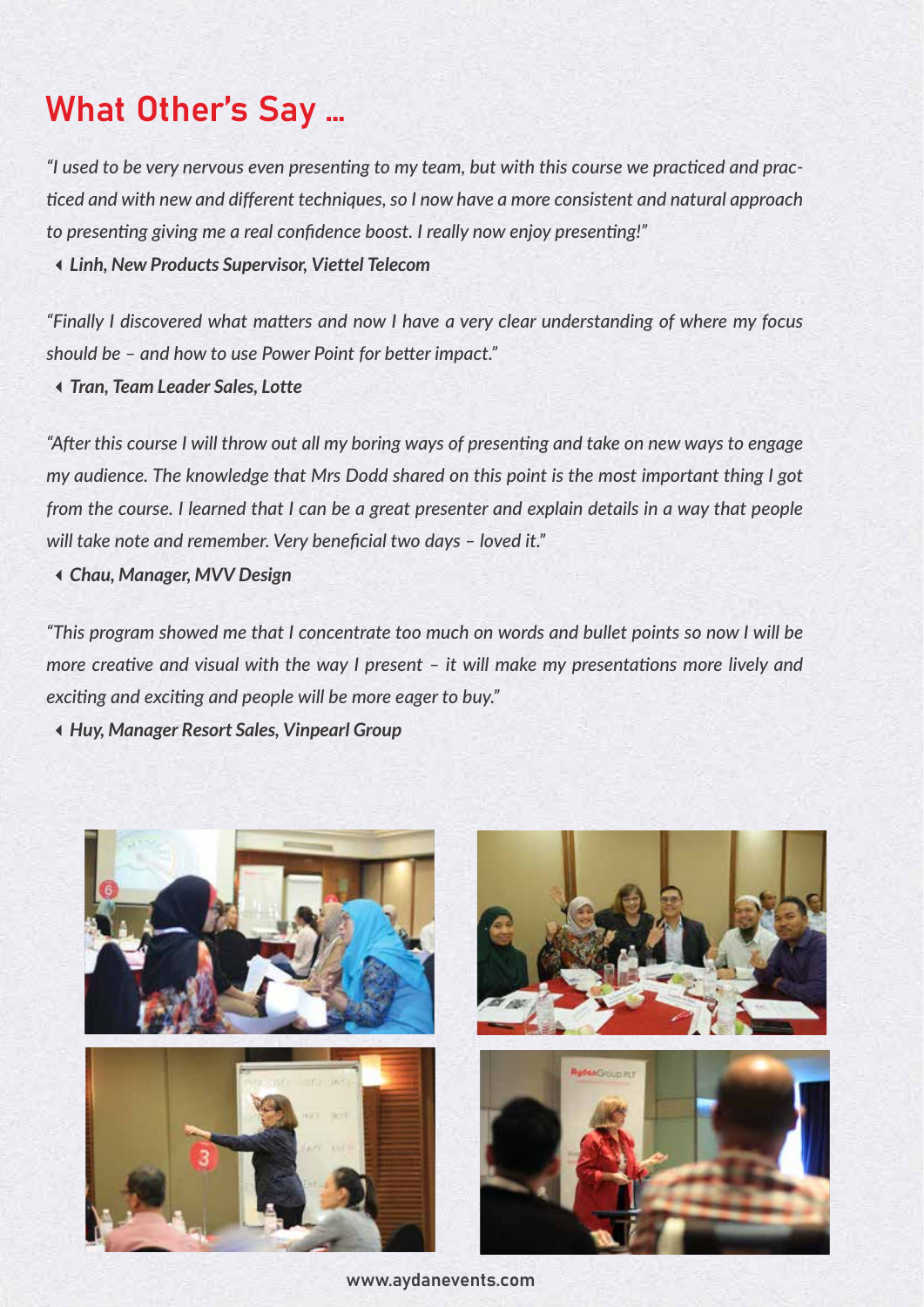# What Other's Say …

*"I used to be very nervous even presenting to my team, but with this course we practiced and practiced and with new and different techniques, so I now have a more consistent and natural approach to presenting giving me a real confidence boost. I really now enjoy presenting!"*

*Linh, New Products Supervisor, Viettel Telecom*

*"Finally I discovered what matters and now I have a very clear understanding of where my focus should be – and how to use Power Point for better impact."*

*Tran, Team Leader Sales, Lotte*

*"After this course I will throw out all my boring ways of presenting and take on new ways to engage my audience. The knowledge that Mrs Dodd shared on this point is the most important thing I got from the course. I learned that I can be a great presenter and explain details in a way that people will take note and remember. Very beneficial two days – loved it."* 

*Chau, Manager, MVV Design* 

*"This program showed me that I concentrate too much on words and bullet points so now I will be more creative and visual with the way I present – it will make my presentations more lively and exciting and exciting and people will be more eager to buy."* 

*Huy, Manager Resort Sales, Vinpearl Group*



www.aydanevents.com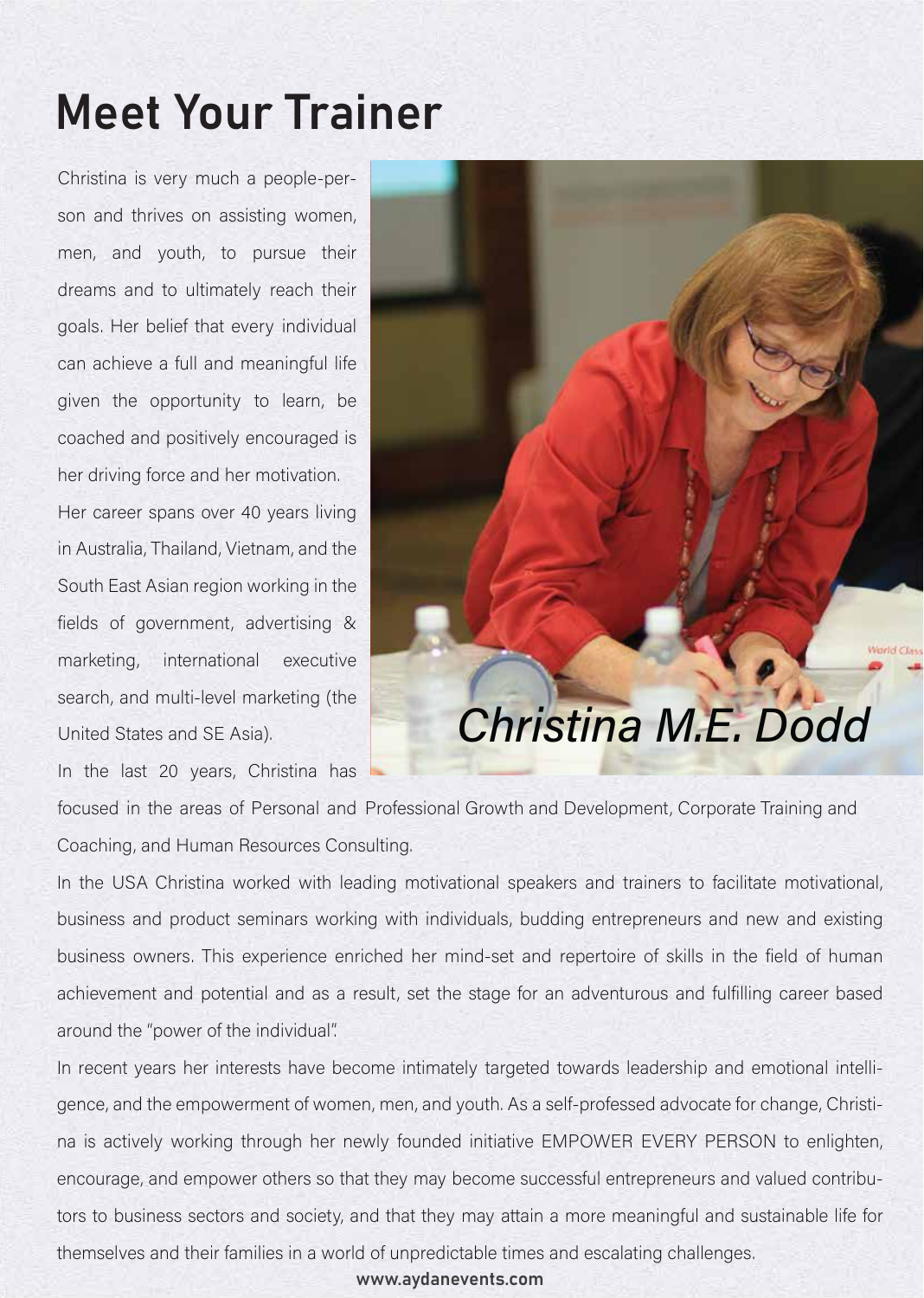# **Meet Your Trainer**

Christina is very much a people-person and thrives on assisting women, men, and youth, to pursue their dreams and to ultimately reach their goals. Her belief that every individual can achieve a full and meaningful life given the opportunity to learn, be coached and positively encouraged is her driving force and her motivation.

Her career spans over 40 years living in Australia, Thailand, Vietnam, and the South East Asian region working in the fields of government, advertising & marketing, international executive search, and multi-level marketing (the United States and SE Asia).

In the last 20 years, Christina has

focused in the areas of Personal and Professional Growth and Development, Corporate Training and Coaching, and Human Resources Consulting.

Christina M.E. Dodd

In the USA Christina worked with leading motivational speakers and trainers to facilitate motivational, business and product seminars working with individuals, budding entrepreneurs and new and existing business owners. This experience enriched her mind-set and repertoire of skills in the field of human achievement and potential and as a result, set the stage for an adventurous and fulfilling career based around the "power of the individual".

In recent years her interests have become intimately targeted towards leadership and emotional intelligence, and the empowerment of women, men, and youth. As a self-professed advocate for change, Christina is actively working through her newly founded initiative EMPOWER EVERY PERSON to enlighten, encourage, and empower others so that they may become successful entrepreneurs and valued contributors to business sectors and society, and that they may attain a more meaningful and sustainable life for themselves and their families in a world of unpredictable times and escalating challenges.

www.aydanevents.com